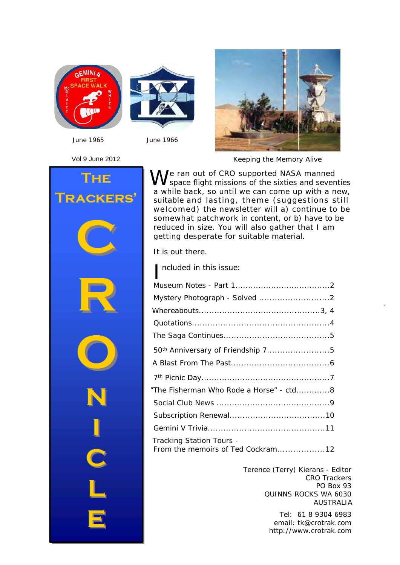



*June 1965 June 1966*



Vol 9 June 2012 Гне **RACKERS** 

*Keeping the Memory Alive*

We ran out of CRO supported NASA manned<br>We space flight missions of the sixties and seventies a while back, so until we can come up with a new, suitable and lasting, theme (suggestions still welcomed) the newsletter will a) continue to be somewhat patchwork in content, or b) have to be reduced in size. You will also gather that I am getting desperate for suitable material.

It is out there.

| ncluded in this issue:                                        |
|---------------------------------------------------------------|
|                                                               |
|                                                               |
|                                                               |
|                                                               |
|                                                               |
| 50 <sup>th</sup> Anniversary of Friendship 75                 |
|                                                               |
|                                                               |
| "The Fisherman Who Rode a Horse" - ctd8                       |
|                                                               |
|                                                               |
|                                                               |
| Tracking Station Tours -<br>From the memoirs of Ted Cockram12 |

Terence (Terry) Kierans - Editor CRO Trackers PO Box 93 QUINNS ROCKS WA 6030 AUSTRALIA

 *Keeping the Memory Alive* 1 <http://www.crotrak.com> Tel: 61 8 9304 6983 email: [tk@crotrak.com](mailto:tk@crotrak.com)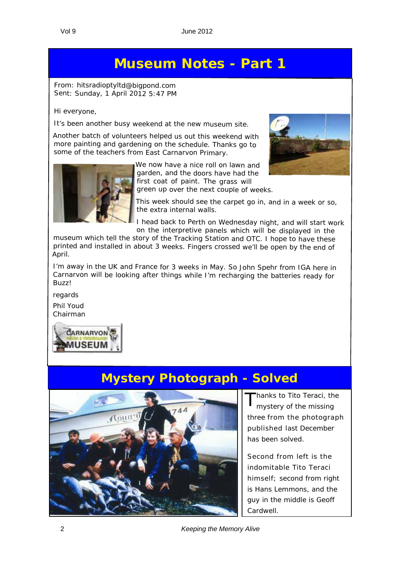# **Museum Notes - Part 1**

*From: [hitsradioptyltd@bigpond.com](mailto:hitsradioptyltd@bigpond.com) Sent: Sunday, 1 April 2012 5:47 PM*

Hi everyone,

It's been another busy weekend at the new museum site.

Another batch of volunteers helped us out this weekend with more painting and gardening on the schedule. Thanks go to some of the teachers from East Carnarvon Primary.



We now have <sup>a</sup> nice roll on lawn and garden, and the doors have had the first coat of paint. The grass will green up over the next couple of weeks.



This week should see the carpet go in, and in <sup>a</sup> week or so, the extra internal walls.

<sup>I</sup> head back to Perth on Wednesday night, and will start work on the interpretive panels which will be displayed in the

museum which tell the story of the Tracking Station and OTC. <sup>I</sup> hope to have these printed and installed in about <sup>3</sup> weeks. Fingers crossed we'll be open by the end of April.

I'm away in the UK and France for <sup>3</sup> weeks in May. So John Spehr from IGA here in Carnarvon will be looking after things while I'm recharging the batteries ready for Buzz!

regards Phil Youd

Chairman



# **Mystery Photograph - Solved**



hanks to Tito Teraci, the mystery of the missing three from the photograph published last December has been solved.

Second from left is the indomitable Tito Teraci himself; second from right is Hans Lemmons, and the guy in the middle is Geoff Cardwell.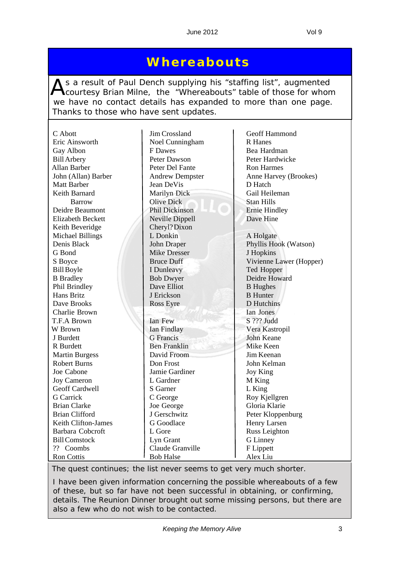### **Whereabouts**

As a result of Paul Dench supplying his "staffing list", augmented<br>Courtesy Brian Milne, the "Whereabouts" table of those for whom we have no contact details has expanded to more than one page. Thanks to those who have sent updates.

| C Abott                  | Jim Crossland          | Geoff Hammond           |  |
|--------------------------|------------------------|-------------------------|--|
| Eric Ainsworth           | Noel Cunningham        | R Hanes                 |  |
| Gay Albon                | F Dawes                | Bea Hardman             |  |
| <b>Bill Arbery</b>       | Peter Dawson           | Peter Hardwicke         |  |
| <b>Allan Barber</b>      | Peter Del Fante        | <b>Ron Harmes</b>       |  |
| John (Allan) Barber      | <b>Andrew Dempster</b> | Anne Harvey (Brookes)   |  |
| <b>Matt Barber</b>       | Jean DeVis             | D Hatch                 |  |
| Keith Barnard            | Marilyn Dick           | Gail Heileman           |  |
| <b>Barrow</b>            | <b>Olive Dick</b>      | <b>Stan Hills</b>       |  |
| Deidre Beaumont          | Phil Dickinson         | <b>Ernie Hindley</b>    |  |
| <b>Elizabeth Beckett</b> | Neville Dippell        | Dave Hine               |  |
| Keith Beveridge          | Cheryl? Dixon          |                         |  |
| <b>Michael Billings</b>  | L Donkin               | A Holgate               |  |
| Denis Black              | <b>John Draper</b>     | Phyllis Hook (Watson)   |  |
| G Bond                   | <b>Mike Dresser</b>    | J Hopkins               |  |
| S Boyce                  | <b>Bruce Duff</b>      | Vivienne Lawer (Hopper) |  |
| <b>Bill Boyle</b>        | I Dunleavy             | Ted Hopper              |  |
| <b>B</b> Bradley         | <b>Bob Dwyer</b>       | Deidre Howard           |  |
| Phil Brindley            | Dave Elliot            | <b>B</b> Hughes         |  |
| Hans Britz               | J Erickson             | <b>B</b> Hunter         |  |
| Dave Brooks              | <b>Ross Eyre</b>       | D Hutchins              |  |
| Charlie Brown            |                        | Ian Jones               |  |
| T.F.A Brown              | Ian Few                | S ??? Judd              |  |
| W Brown                  | Ian Findlay            | Vera Kastropil          |  |
| J Burdett                | <b>G</b> Francis       | <b>John Keane</b>       |  |
| R Burdett                | <b>Ben Franklin</b>    | Mike Keen               |  |
| <b>Martin Burgess</b>    | David Froom            | Jim Keenan              |  |
| <b>Robert Burns</b>      | Don Frost              | John Kelman             |  |
| Joe Cabone               | Jamie Gardiner         | Joy King                |  |
| <b>Joy Cameron</b>       | L Gardner              | M King                  |  |
| Geoff Cardwell           | S Garner               | L King                  |  |
| <b>G</b> Carrick         | C George               | Roy Kjellgren           |  |
| <b>Brian Clarke</b>      | Joe George             | Gloria Klarie           |  |
| <b>Brian Clifford</b>    | J Gerschwitz           | Peter Kloppenburg       |  |
| Keith Clifton-James      | G Goodlace             | Henry Larsen            |  |
| Barbara Cobcroft         | L Gore                 | Russ Leighton           |  |
| <b>Bill Comstock</b>     | Lyn Grant              | <b>G</b> Linney         |  |
| ?? Coombs                | Claude Granville       | F Lippett               |  |
| <b>Ron Cottis</b>        | <b>Bob Halse</b>       | Alex Liu                |  |

*The quest continues; the list never seems to get very much shorter.*

*I have been given information concerning the possible whereabouts of a few of these, but so far have not been successful in obtaining, or confirming, details. The Reunion Dinner brought out some missing persons, but there are also a few who do not wish to be contacted.*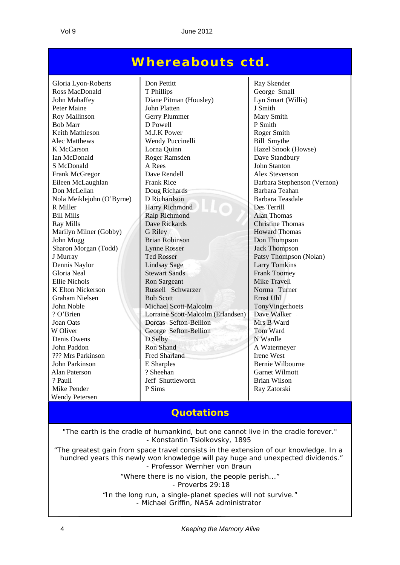### **Whereabouts ctd.**

Mike Pender P Sims Ray Zatorski Wendy Petersen

Gloria Lyon-Roberts Don Pettitt Ray Skender Ross MacDonald T Phillips George Small John Mahaffey Diane Pitman (Housley) Lyn Smart (Willis) Peter Maine John Platten J. Smith Roy Mallinson Gerry Plummer Mary Smith Bob Marr  $\vert$  D Powell  $\vert$  P Smith Keith Mathieson M.J.K Power Roger Smith Alec Matthews Wendy Puccinelli Bill Smythe K McCarson | Lorna Quinn | Hazel Snook (Howse) Ian McDonald Roger Ramsden Dave Standbury S McDonald A Rees John Stanton Frank McGregor Dave Rendell Alex Stevenson Eileen McLaughlan Frank Rice Barbara Stephenson (Vernon) Don McLellan Doug Richards Barbara Teahan Nola Meiklejohn (O'Byrne) D Richardson Barbara Teasdale R Miller Harry Richmond Des Terrill Bill Mills Ralp Richmond Alan Thomas Ray Mills **Dave Rickards** Christine Thomas Marilyn Milner (Gobby) G Riley Howard Thomas John Mogg Brian Robinson Don Thompson Sharon Morgan (Todd) Lynne Rosser Jack Thompson J Murray Ted Rosser Patsy Thompson (Nolan) Dennis Naylor Lindsay Sage Larry Tomkins Gloria Neal Stewart Sands Frank Toomey Ellie Nichols Ron Sargeant Mike Travell K Elton Nickerson Russell Schwarzer Norma Turner Graham Nielsen Bob Scott Ernst Uhl John Noble Michael Scott-Malcolm TonyVingerhoets ? O'Brien Lorraine Scott-Malcolm (Erlandsen) Dave Walker Joan Oats Dorcas Sefton-Bellion Mrs B Ward W Oliver George Sefton-Bellion Tom Ward Denis Owens D Selby N Wardle John Paddon Ron Shand A Watermeyer ??? Mrs Parkinson Fred Sharland Irene West John Parkinson **E** E Sharples Bernie Wilbourne Alan Paterson ? Sheehan Garnet Wilmott ? Paull Jeff Shuttleworth Brian Wilson

#### **Quotations**

"*The earth is the cradle of humankind, but one cannot live in the cradle forever.*" - Konstantin Tsiolkovsky, 1895

"*The greatest gain from space travel consists in the extension of our knowledge. In a hundred years this newly won knowledge will pay huge and unexpected dividends.*" - Professor Wernher von Braun

> "*Where there is no vision, the people perish...*" - Proverbs 29:18

"*In the long run, a single-planet species will not survive."* - Michael Griffin, NASA administrator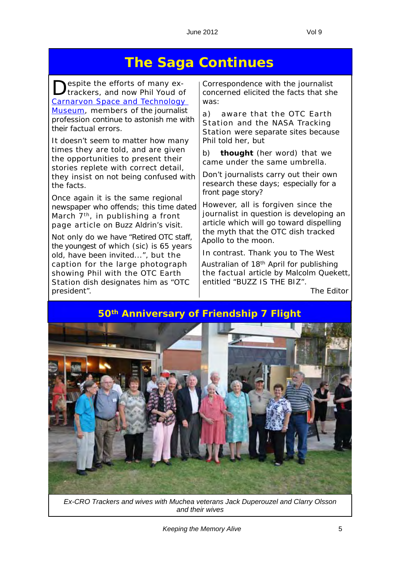# **The Saga Continues**

espite the efforts of many extrackers, and now Phil Youd of Carnarvon Space and Technology Museum, members of the journalist profession continue to astonish me with their factual errors.

It doesn't seem to matter how many times they are told, and are given the opportunities to present their stories replete with correct detail, they insist on not being confused with the facts.

Once again it is the same regional newspaper who offends; this time dated March 7<sup>th</sup>, in publishing a front page article on Buzz Aldrin's visit.

Not only do we have "*Retired OTC staff, the youngest of which (sic) is 65 years old, have been invited...*", but the caption for the large photograph showing Phil with the OTC Earth Station dish designates him as "*OTC president*".

Correspondence with the journalist concerned elicited the facts that she was:

a) aware that the OTC Earth Station and the NASA Tracking Station were separate sites because Phil told her, but

b) *thought* (her word) that we came under the same umbrella.

Don't journalists carry out their own research these days; especially for a front page story?

However, all is forgiven since the journalist in question is developing an article which will go toward dispelling the myth that the OTC dish tracked Apollo to the moon.

In contrast. Thank you to *The West Australian* of 18th April for publishing the factual article by Malcolm Quekett, entitled "*BUZZ IS THE BIZ*".

*The Editor*

**50th Anniversary of Friendship 7 Flight**



*Ex-CRO Trackers and wives with Muchea veterans Jack Duperouzel and Clarry Olsson and their wives*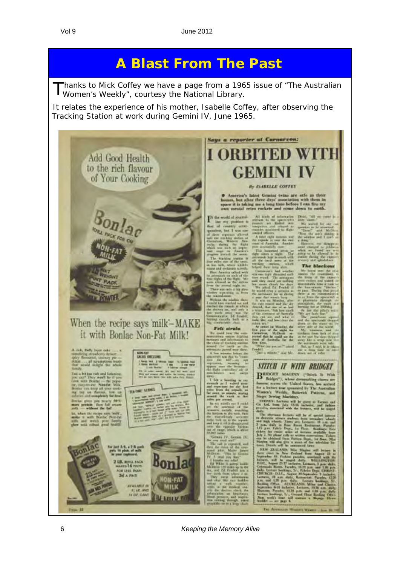# **A Blast From The Past**

Thanks to Mick Coffey we have a page from a 1965 issue of "The Australian Women's Weekly", courtesy the National Library.

It relates the experience of his mother, Isabelle Coffey, after observing the Tracking Station at work during Gemini IV, June 1965.

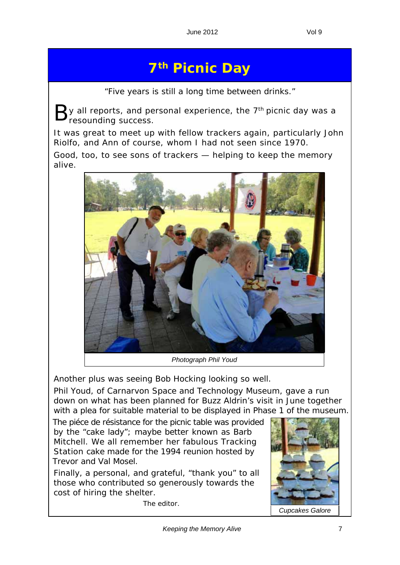# **7th Picnic Day**

"*Five years is still a long time between drinks.*"

 $\mathbf 2$ y all reports, and personal experience, the 7<sup>th</sup> picnic day was a resounding success.

It was great to meet up with fellow trackers again, particularly John Riolfo, and Ann of course, whom I had not seen since 1970.

Good, too, to see sons of trackers — helping to keep the memory alive.



Another plus was seeing Bob Hocking looking so well.

Phil Youd, of Carnarvon Space and Technology Museum, gave a run down on what has been planned for Buzz Aldrin's visit in June together with a plea for suitable material to be displayed in Phase 1 of the museum.

The *piéce de résistance* for the picnic table was provided by the "cake lady"; maybe better known as Barb Mitchell. We all remember her fabulous Tracking Station cake made for the 1994 reunion hosted by Trevor and Val Mosel.

Finally, a personal, and grateful, "thank you" to all those who contributed so generously towards the cost of hiring the shelter.

*The editor.*

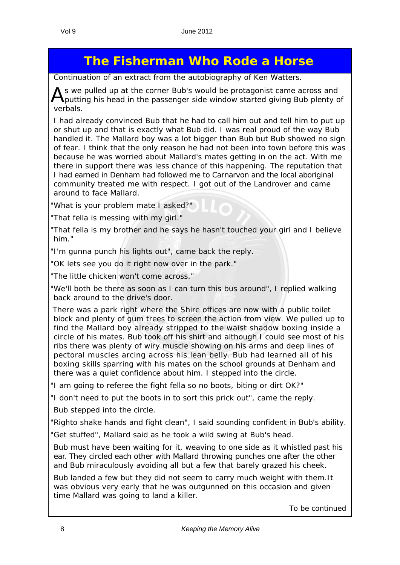# **The Fisherman Who Rode a Horse**

*Continuation of an extract from the autobiography of Ken Watters.*

As we pulled up at the corner Bub's would be protagonist came across and putting his head in the passenger side window started giving Bub plenty of verbals.

I had already convinced Bub that he had to call him out and tell him to put up or shut up and that is exactly what Bub did. I was real proud of the way Bub handled it. The Mallard boy was a lot bigger than Bub but Bub showed no sign of fear. I think that the only reason he had not been into town before this was because he was worried about Mallard's mates getting in on the act. With me there in support there was less chance of this happening. The reputation that I had earned in Denham had followed me to Carnarvon and the local aboriginal community treated me with respect. I got out of the Landrover and came around to face Mallard.

"What is your problem mate I asked?"

"That fella is messing with my girl."

"That fella is my brother and he says he hasn't touched your girl and I believe him."

"I'm gunna punch his lights out", came back the reply.

"OK lets see you do it right now over in the park."

"The little chicken won't come across."

"We'll both be there as soon as I can turn this bus around", I replied walking back around to the drive's door.

There was a park right where the Shire offices are now with a public toilet block and plenty of gum trees to screen the action from view. We pulled up to find the Mallard boy already stripped to the waist shadow boxing inside a circle of his mates. Bub took off his shirt and although I could see most of his ribs there was plenty of wiry muscle showing on his arms and deep lines of pectoral muscles arcing across his lean belly. Bub had learned all of his boxing skills sparring with his mates on the school grounds at Denham and there was a quiet confidence about him. I stepped into the circle.

"I am going to referee the fight fella so no boots, biting or dirt OK?"

"I don't need to put the boots in to sort this prick out", came the reply.

Bub stepped into the circle.

"Righto shake hands and fight clean", I said sounding confident in Bub's ability.

"Get stuffed", Mallard said as he took a wild swing at Bub's head.

Bub must have been waiting for it, weaving to one side as it whistled past his ear. They circled each other with Mallard throwing punches one after the other and Bub miraculously avoiding all but a few that barely grazed his cheek.

Bub landed a few but they did not seem to carry much weight with them.It was obvious very early that he was outgunned on this occasion and given time Mallard was going to land a killer.

*To be continued*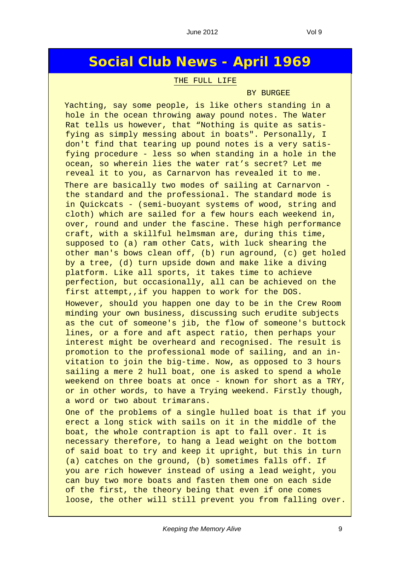### **Social Club News - April 1969**

#### THE FULL LIFE

#### BY BURGEE

Yachting, say some people, is like others standing in a hole in the ocean throwing away pound notes. The Water Rat tells us however, that "Nothing is quite as satisfying as simply messing about in boats". Personally, I don't find that tearing up pound notes is a very satisfying procedure - less so when standing in a hole in the ocean, so wherein lies the water rat's secret? Let me reveal it to you, as Carnarvon has revealed it to me. There are basically two modes of sailing at Carnarvon the standard and the professional. The standard mode is in Quickcats - (semi-buoyant systems of wood, string and cloth) which are sailed for a few hours each weekend in, over, round and under the fascine. These high performance craft, with a skillful helmsman are, during this time, supposed to (a) ram other Cats, with luck shearing the other man's bows clean off, (b) run aground, (c) get holed by a tree, (d) turn upside down and make like a diving platform. Like all sports, it takes time to achieve perfection, but occasionally, all can be achieved on the first attempt,, if you happen to work for the DOS.

However, should you happen one day to be in the Crew Room minding your own business, discussing such erudite subjects as the cut of someone's jib, the flow of someone's buttock lines, or a fore and aft aspect ratio, then perhaps your interest might be overheard and recognised. The result is promotion to the professional mode of sailing, and an invitation to join the big-time. Now, as opposed to 3 hours sailing a mere 2 hull boat, one is asked to spend a whole weekend on three boats at once - known for short as a TRY, or in other words, to have a Trying weekend. Firstly though, a word or two about trimarans.

One of the problems of a single hulled boat is that if you erect a long stick with sails on it in the middle of the boat, the whole contraption is apt to fall over. It is necessary therefore, to hang a lead weight on the bottom of said boat to try and keep it upright, but this in turn (a) catches on the ground, (b) sometimes falls off. If you are rich however instead of using a lead weight, you can buy two more boats and fasten them one on each side of the first, the theory being that even if one comes loose, the other will still prevent you from falling over.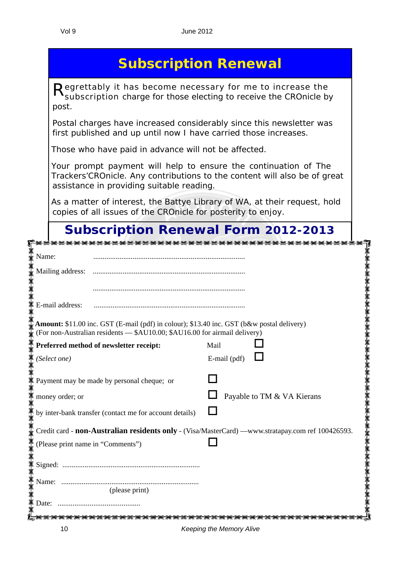|  | <b>Subscription Renewal</b> |
|--|-----------------------------|
|  |                             |
|  |                             |
|  |                             |

Regrettably it has become necessary for me to increase the subscription charge for those electing to receive the *CROnicle* by post.

Postal charges have increased considerably since this newsletter was first published and up until now I have carried those increases.

Those who have paid in advance will not be affected.

Your prompt payment will help to ensure the continuation of *The Trackers'CROnicle.* Any contributions to the content will also be of great assistance in providing suitable reading.

As a matter of interest, the *Battye Library* of WA, at their request, hold copies of all issues of the *CROnicle* for posterity to enjoy.

### **Subscription Renewal Form 2012-2013**

| Name:                                                                                                                                                                   |                                                                                                   |
|-------------------------------------------------------------------------------------------------------------------------------------------------------------------------|---------------------------------------------------------------------------------------------------|
| Mailing address:                                                                                                                                                        |                                                                                                   |
|                                                                                                                                                                         |                                                                                                   |
| E-mail address:                                                                                                                                                         |                                                                                                   |
| Amount: \$11.00 inc. GST (E-mail (pdf) in colour); \$13.40 inc. GST (b&w postal delivery)<br>(For non-Australian residents - \$AU10.00; \$AU16.00 for airmail delivery) |                                                                                                   |
| Preferred method of newsletter receipt:                                                                                                                                 | Mail                                                                                              |
| (Select one)                                                                                                                                                            | E-mail (pdf)                                                                                      |
| Payment may be made by personal cheque; or                                                                                                                              |                                                                                                   |
| money order; or                                                                                                                                                         | Payable to TM & VA Kierans                                                                        |
| by inter-bank transfer (contact me for account details)                                                                                                                 |                                                                                                   |
|                                                                                                                                                                         | Credit card - non-Australian residents only - (Visa/MasterCard) —www.stratapay.com ref 100426593. |
| (Please print name in "Comments")                                                                                                                                       |                                                                                                   |
|                                                                                                                                                                         |                                                                                                   |
|                                                                                                                                                                         |                                                                                                   |
| (please print)                                                                                                                                                          |                                                                                                   |
| Date:                                                                                                                                                                   |                                                                                                   |
| $\overline{10}$                                                                                                                                                         | Kooping the Moment Alisa                                                                          |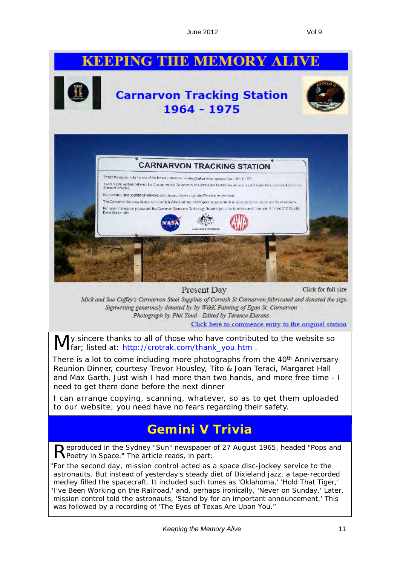# **KEEPING THE MEMORY ALIVE**



"*For the second day, mission control acted as a space disc-jockey service to the astronauts. But instead of yesterday's steady diet of Dixieland jazz, a tape-recorded medley filled the spacecraft. It included such tunes as 'Oklahoma,' 'Hold That Tiger,' 'I've Been Working on the Railroad,' and, perhaps ironically, 'Never on Sunday.' Later, mission control told the astronauts, 'Stand by for an important announcement.' This was followed by a recording of 'The Eyes of Texas Are Upon You.*"